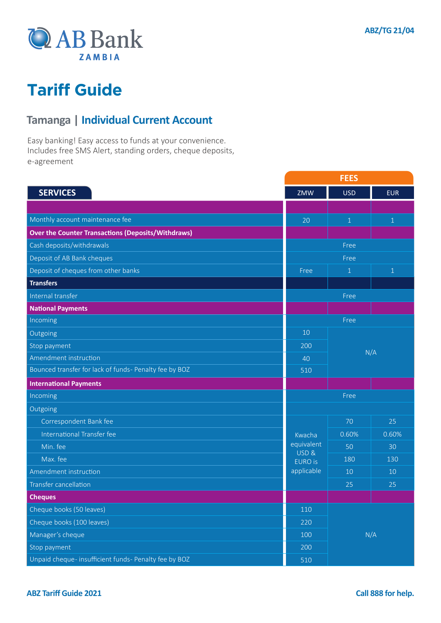

#### **Tamanga | Individual Current Account**

Easy banking! Easy access to funds at your convenience. Includes free SMS Alert, standing orders, cheque deposits, e-agreement

|                                                           | <b>FEES</b>        |              |              |
|-----------------------------------------------------------|--------------------|--------------|--------------|
| <b>SERVICES</b>                                           | ZMW                | <b>USD</b>   | <b>EUR</b>   |
|                                                           |                    |              |              |
| Monthly account maintenance fee                           | 20                 | $\mathbf{1}$ | $1\,$        |
| <b>Over the Counter Transactions (Deposits/Withdraws)</b> |                    |              |              |
| Cash deposits/withdrawals                                 |                    | Free         |              |
| Deposit of AB Bank cheques                                | Free               |              |              |
| Deposit of cheques from other banks                       | Free               | 1            | $\mathbf{1}$ |
| <b>Transfers</b>                                          |                    |              |              |
| Internal transfer                                         |                    | Free         |              |
| <b>National Payments</b>                                  |                    |              |              |
| Incoming                                                  |                    | Free         |              |
| Outgoing                                                  | 10                 | N/A          |              |
| Stop payment                                              | 200                |              |              |
| Amendment instruction                                     | 40                 |              |              |
| Bounced transfer for lack of funds- Penalty fee by BOZ    | 510                |              |              |
| <b>International Payments</b>                             |                    |              |              |
| Incoming                                                  | Free               |              |              |
| Outgoing                                                  |                    |              |              |
| Correspondent Bank fee                                    |                    | 70           | 25           |
| International Transfer fee                                | Kwacha             | 0.60%        | 0.60%        |
| Min. fee                                                  | equivalent<br>USD& | 50           | 30           |
| Max. fee                                                  | <b>EURO</b> is     | 180          | 130          |
| Amendment instruction                                     | applicable         | 10           | 10           |
| <b>Transfer cancellation</b>                              |                    | 25           | 25           |
| <b>Cheques</b>                                            |                    |              |              |
| Cheque books (50 leaves)                                  | 110                |              |              |
| Cheque books (100 leaves)                                 | 220                | N/A          |              |
| Manager's cheque                                          | 100                |              |              |
| Stop payment                                              | 200                |              |              |
| Unpaid cheque- insufficient funds- Penalty fee by BOZ     | 510                |              |              |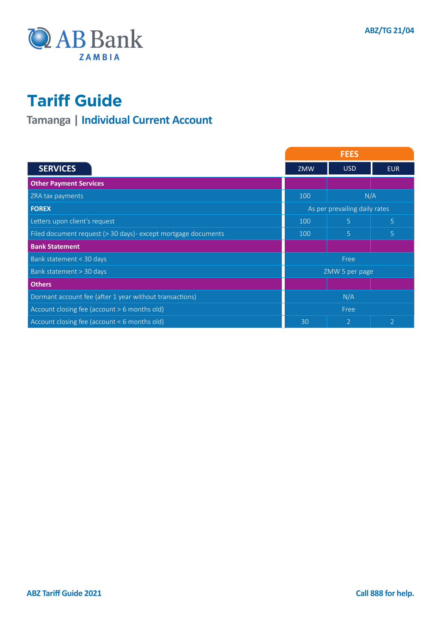

### **Tamanga | Individual Current Account**

|                                                                | <b>FEES</b>                   |                |                |
|----------------------------------------------------------------|-------------------------------|----------------|----------------|
| <b>SERVICES</b>                                                | <b>ZMW</b>                    | <b>USD</b>     | <b>EUR</b>     |
| <b>Other Payment Services</b>                                  |                               |                |                |
| ZRA tax payments                                               | N/A<br>100                    |                |                |
| <b>FOREX</b>                                                   | As per prevailing daily rates |                |                |
| Letters upon client's request                                  | 100                           | 5              | 5              |
| Filed document request (> 30 days) - except mortgage documents | 100                           | 5              | 5              |
| <b>Bank Statement</b>                                          |                               |                |                |
| Bank statement < 30 days                                       | Free                          |                |                |
| Bank statement > 30 days                                       | ZMW 5 per page                |                |                |
| <b>Others</b>                                                  |                               |                |                |
| Dormant account fee (after 1 year without transactions)        | N/A                           |                |                |
| Account closing fee (account > 6 months old)                   | Free                          |                |                |
| Account closing fee (account < 6 months old)                   | 30                            | $\overline{2}$ | $\overline{2}$ |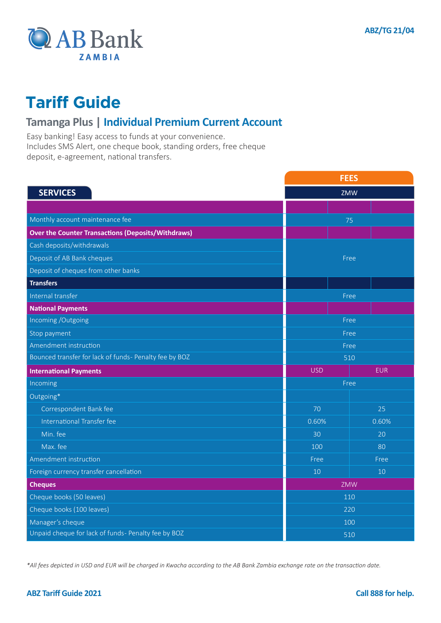

#### **Tamanga Plus | Individual Premium Current Account**

Easy banking! Easy access to funds at your convenience. Includes SMS Alert, one cheque book, standing orders, free cheque deposit, e-agreement, national transfers.

|                                                           | <b>FEES</b> |            |  |
|-----------------------------------------------------------|-------------|------------|--|
| <b>SERVICES</b>                                           | ZMW         |            |  |
|                                                           |             |            |  |
| Monthly account maintenance fee                           |             | 75         |  |
| <b>Over the Counter Transactions (Deposits/Withdraws)</b> |             |            |  |
| Cash deposits/withdrawals                                 |             |            |  |
| Deposit of AB Bank cheques                                |             | Free       |  |
| Deposit of cheques from other banks                       |             |            |  |
| <b>Transfers</b>                                          |             |            |  |
| Internal transfer                                         |             | Free       |  |
| <b>National Payments</b>                                  |             |            |  |
| Incoming /Outgoing                                        |             | Free       |  |
| Stop payment                                              | Free        |            |  |
| Amendment instruction                                     | Free        |            |  |
| Bounced transfer for lack of funds- Penalty fee by BOZ    | 510         |            |  |
| <b>International Payments</b>                             | <b>USD</b>  | <b>EUR</b> |  |
| Incoming                                                  | Free        |            |  |
| Outgoing*                                                 |             |            |  |
| Correspondent Bank fee                                    | 70          | 25         |  |
| International Transfer fee                                | 0.60%       | 0.60%      |  |
| Min. fee                                                  | 30          | 20         |  |
| Max. fee                                                  | 100         | 80         |  |
| Amendment instruction                                     | Free        | Free       |  |
| Foreign currency transfer cancellation                    | 10          | 10         |  |
| <b>Cheques</b>                                            | ZMW         |            |  |
| Cheque books (50 leaves)                                  | 110         |            |  |
| Cheque books (100 leaves)                                 | 220         |            |  |
| Manager's cheque                                          | 100         |            |  |
| Unpaid cheque for lack of funds- Penalty fee by BOZ       | 510         |            |  |

*\*All fees depicted in USD and EUR will be charged in Kwacha according to the AB Bank Zambia exchange rate on the transaction date.*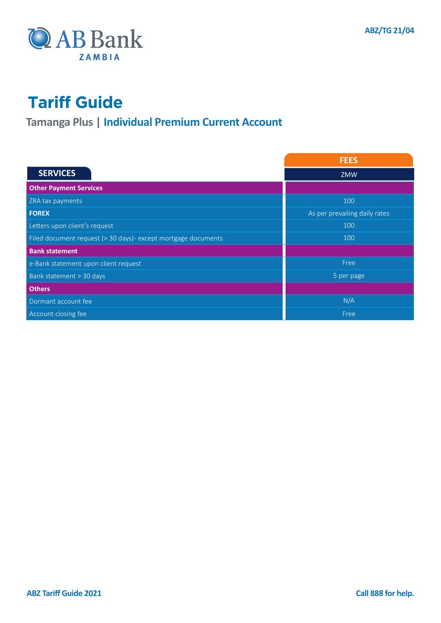

### **Tamanga Plus | Individual Premium Current Account**

|                                                                | <b>FEES</b>                   |  |
|----------------------------------------------------------------|-------------------------------|--|
| <b>SERVICES</b>                                                | <b>ZMW</b>                    |  |
| <b>Other Payment Services</b>                                  |                               |  |
| ZRA tax payments                                               | 100                           |  |
| <b>FOREX</b>                                                   | As per prevailing daily rates |  |
| Letters upon client's request                                  | 100                           |  |
| Filed document request (> 30 days) - except mortgage documents | 100                           |  |
| <b>Bank statement</b>                                          |                               |  |
| e-Bank statement upon client request                           | Free                          |  |
| Bank statement > 30 days                                       | 5 per page                    |  |
| <b>Others</b>                                                  |                               |  |
| Dormant account fee                                            | N/A                           |  |
| Account closing fee                                            | Free                          |  |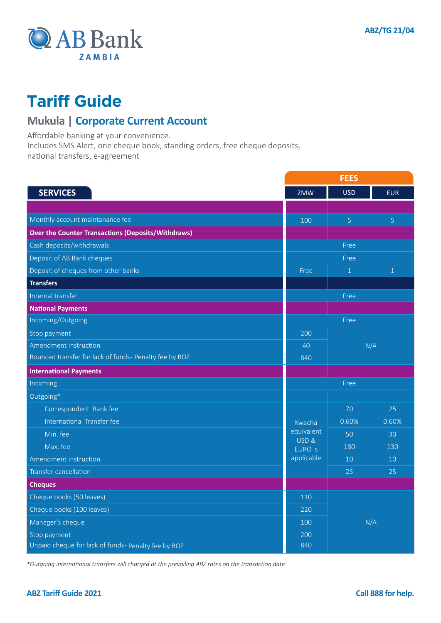

#### **Mukula | Corporate Current Account**

Affordable banking at your convenience.

Includes SMS Alert, one cheque book, standing orders, free cheque deposits,

national transfers, e-agreement

|                                                                     | <b>FEES</b>        |                  |                |
|---------------------------------------------------------------------|--------------------|------------------|----------------|
| <b>SERVICES</b>                                                     | ZMW                | <b>USD</b>       | <b>EUR</b>     |
|                                                                     |                    |                  |                |
| Monthly account maintanance fee                                     | 100                | $\overline{5}$   | $\overline{5}$ |
| <b>Over the Counter Transactions (Deposits/Withdraws)</b>           |                    |                  |                |
| Cash deposits/withdrawals                                           |                    | Free             |                |
| Deposit of AB Bank cheques                                          | Free               |                  |                |
| Deposit of cheques from other banks                                 | Free               | $\mathbf{1}$     | $\overline{1}$ |
| <b>Transfers</b>                                                    |                    |                  |                |
| Internal transfer                                                   |                    | Free             |                |
| <b>National Payments</b>                                            |                    |                  |                |
| Incoming/Outgoing                                                   | Free               |                  |                |
| Stop payment                                                        | 200                | N/A<br>40<br>840 |                |
| Amendment instruction                                               |                    |                  |                |
| Bounced transfer for lack of funds- Penalty fee by BOZ              |                    |                  |                |
| <b>International Payments</b>                                       |                    |                  |                |
| Incoming                                                            |                    | Free             |                |
| Outgoing*                                                           |                    |                  |                |
| Correspondent Bank fee                                              |                    | 70               | 25             |
| International Transfer fee                                          | Kwacha             | 0.60%            | 0.60%          |
| Min. fee                                                            | equivalent<br>USD& | 50               | 30             |
| Max. fee                                                            | <b>EURO</b> is     | 180              | 130            |
| Amendment instruction                                               | applicable         | 10               | 10             |
| <b>Transfer cancellation</b>                                        |                    | 25               | 25             |
| <b>Cheques</b>                                                      |                    |                  |                |
| Cheque books (50 leaves)                                            | 110                | N/A              |                |
| Cheque books (100 leaves)                                           | 220                |                  |                |
| Manager's cheque                                                    | 100                |                  |                |
|                                                                     | 200                |                  |                |
| Stop payment<br>Unpaid cheque for lack of funds- Penalty fee by BOZ |                    |                  |                |

*\*Outgoing international transfers will charged at the prevailing ABZ rates on the transaction date*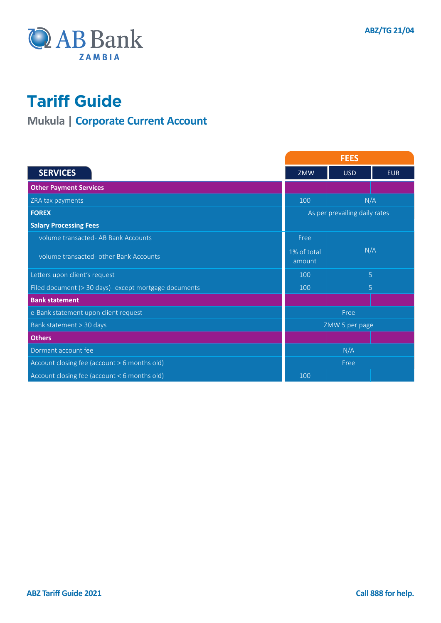

### **Mukula | Corporate Current Account**

|                                                        | <b>FEES</b>                   |            |            |
|--------------------------------------------------------|-------------------------------|------------|------------|
| <b>SERVICES</b>                                        | ZMW                           | <b>USD</b> | <b>EUR</b> |
| <b>Other Payment Services</b>                          |                               |            |            |
| ZRA tax payments                                       | 100                           | N/A        |            |
| <b>FOREX</b>                                           | As per prevailing daily rates |            |            |
| <b>Salary Processing Fees</b>                          |                               |            |            |
| volume transacted - AB Bank Accounts                   | Free                          |            |            |
| volume transacted- other Bank Accounts                 | 1% of total<br>amount         | N/A        |            |
| Letters upon client's request                          | 100                           | 5          |            |
| Filed document (> 30 days) - except mortgage documents | 100                           | 5          |            |
| <b>Bank statement</b>                                  |                               |            |            |
| e-Bank statement upon client request                   | Free                          |            |            |
| Bank statement > 30 days                               | ZMW 5 per page                |            |            |
| <b>Others</b>                                          |                               |            |            |
| Dormant account fee                                    | N/A                           |            |            |
| Account closing fee (account > 6 months old)           | Free                          |            |            |
| Account closing fee (account < 6 months old)           | 100                           |            |            |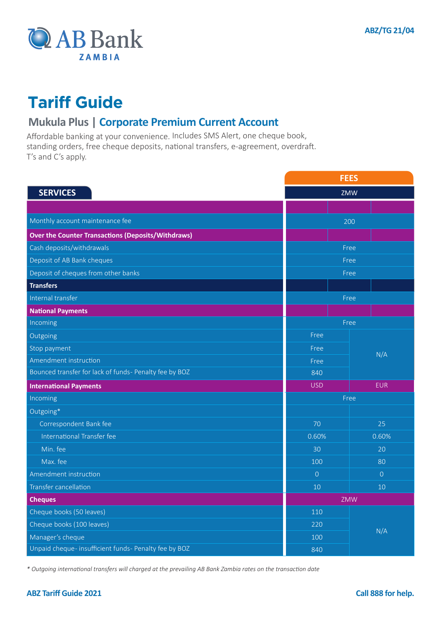

#### **Mukula Plus | Corporate Premium Current Account**

Affordable banking at your convenience. Includes SMS Alert, one cheque book, standing orders, free cheque deposits, national transfers, e-agreement, overdraft. T's and C's apply.

|                                                           | <b>FEES</b>    |                |  |
|-----------------------------------------------------------|----------------|----------------|--|
| <b>SERVICES</b>                                           | ZMW            |                |  |
|                                                           |                |                |  |
| Monthly account maintenance fee                           | 200            |                |  |
| <b>Over the Counter Transactions (Deposits/Withdraws)</b> |                |                |  |
| Cash deposits/withdrawals                                 | Free           |                |  |
| Deposit of AB Bank cheques                                | Free           |                |  |
| Deposit of cheques from other banks                       | Free           |                |  |
| <b>Transfers</b>                                          |                |                |  |
| Internal transfer                                         | Free           |                |  |
| <b>National Payments</b>                                  |                |                |  |
| Incoming                                                  | Free           |                |  |
| Outgoing                                                  | Free           |                |  |
| Stop payment                                              | Free           |                |  |
| Amendment instruction                                     | Free           | N/A            |  |
| Bounced transfer for lack of funds- Penalty fee by BOZ    | 840            |                |  |
| <b>International Payments</b>                             | <b>USD</b>     | <b>EUR</b>     |  |
| Incoming                                                  | Free           |                |  |
| Outgoing*                                                 |                |                |  |
| Correspondent Bank fee                                    | 70             | 25             |  |
| International Transfer fee                                | 0.60%          | 0.60%          |  |
| Min. fee                                                  | 30             | 20             |  |
| Max. fee                                                  | 100            | 80             |  |
| Amendment instruction                                     | $\overline{0}$ | $\overline{0}$ |  |
| <b>Transfer cancellation</b>                              | 10             | 10             |  |
| <b>Cheques</b>                                            | ZMW            |                |  |
| Cheque books (50 leaves)                                  | 110            |                |  |
| Cheque books (100 leaves)                                 | 220            | N/A            |  |
| Manager's cheque                                          | 100            |                |  |
| Unpaid cheque- insufficient funds- Penalty fee by BOZ     | 840            |                |  |

*\* Outgoing international transfers will charged at the prevailing AB Bank Zambia rates on the transaction date*